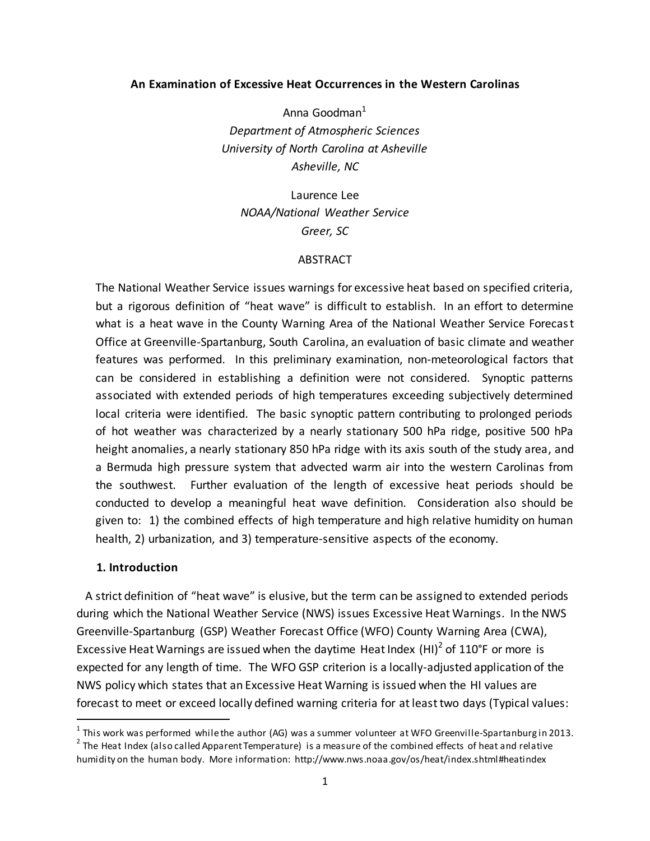# **An Examination of Excessive Heat Occurrences in the Western Carolinas**

Anna Goodman $<sup>1</sup>$ </sup> *Department of Atmospheric Sciences University of North Carolina at Asheville Asheville, NC*

Laurence Lee *NOAA/National Weather Service Greer, SC*

# **ABSTRACT**

The National Weather Service issues warnings for excessive heat based on specified criteria, but a rigorous definition of "heat wave" is difficult to establish. In an effort to determine what is a heat wave in the County Warning Area of the National Weather Service Forecast Office at Greenville-Spartanburg, South Carolina, an evaluation of basic climate and weather features was performed. In this preliminary examination, non-meteorological factors that can be considered in establishing a definition were not considered. Synoptic patterns associated with extended periods of high temperatures exceeding subjectively determined local criteria were identified. The basic synoptic pattern contributing to prolonged periods of hot weather was characterized by a nearly stationary 500 hPa ridge, positive 500 hPa height anomalies, a nearly stationary 850 hPa ridge with its axis south of the study area, and a Bermuda high pressure system that advected warm air into the western Carolinas from the southwest. Further evaluation of the length of excessive heat periods should be conducted to develop a meaningful heat wave definition. Consideration also should be given to: 1) the combined effects of high temperature and high relative humidity on human health, 2) urbanization, and 3) temperature-sensitive aspects of the economy.

# **1. Introduction**

 $\overline{a}$ 

 A strict definition of "heat wave" is elusive, but the term can be assigned to extended periods during which the National Weather Service (NWS) issues Excessive Heat Warnings. In the NWS Greenville-Spartanburg (GSP) Weather Forecast Office (WFO) County Warning Area (CWA), Excessive Heat Warnings are issued when the daytime Heat Index (HI)<sup>2</sup> of 110°F or more is expected for any length of time. The WFO GSP criterion is a locally-adjusted application of the NWS policy which states that an Excessive Heat Warning is issued when the HI values are forecast to meet or exceed locally defined warning criteria for at least two days (Typical values:

 $^{\text{1}}$  This work was performed while the author (AG) was a summer volunteer at WFO Greenville-Spartanburg in 2013.

 $2$  The Heat Index (also called Apparent Temperature) is a measure of the combined effects of heat and relative humidity on the human body. More information: http://www.nws.noaa.gov/os/heat/index.shtml#heatindex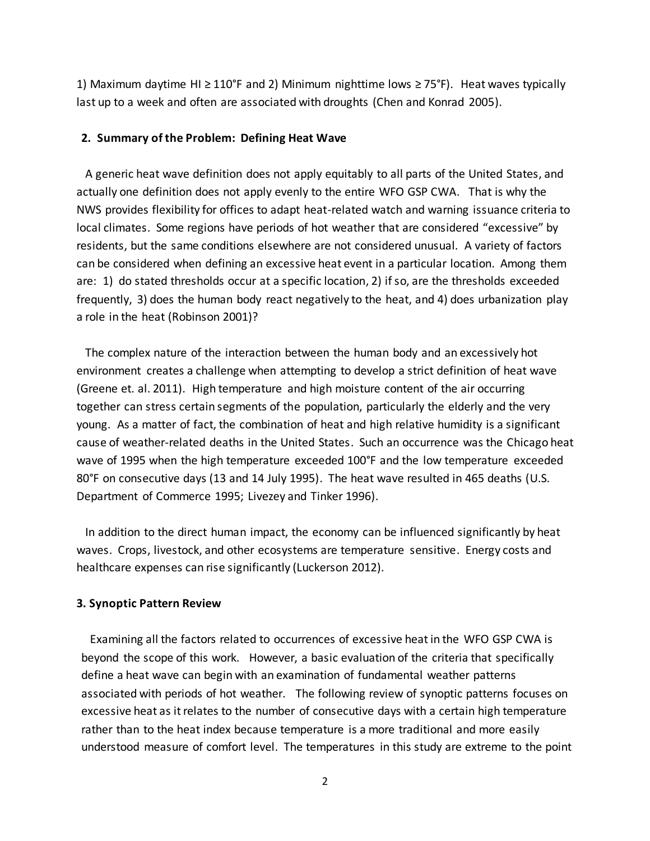1) Maximum daytime HI ≥ 110°F and 2) Minimum nighttime lows  $\geq 75$ °F). Heat waves typically last up to a week and often are associated with droughts (Chen and Konrad 2005).

#### **2. Summary of the Problem: Defining Heat Wave**

 A generic heat wave definition does not apply equitably to all parts of the United States, and actually one definition does not apply evenly to the entire WFO GSP CWA. That is why the NWS provides flexibility for offices to adapt heat-related watch and warning issuance criteria to local climates. Some regions have periods of hot weather that are considered "excessive" by residents, but the same conditions elsewhere are not considered unusual. A variety of factors can be considered when defining an excessive heat event in a particular location. Among them are: 1) do stated thresholds occur at a specific location, 2) if so, are the thresholds exceeded frequently, 3) does the human body react negatively to the heat, and 4) does urbanization play a role in the heat (Robinson 2001)?

 The complex nature of the interaction between the human body and an excessively hot environment creates a challenge when attempting to develop a strict definition of heat wave (Greene et. al. 2011). High temperature and high moisture content of the air occurring together can stress certain segments of the population, particularly the elderly and the very young. As a matter of fact, the combination of heat and high relative humidity is a significant cause of weather-related deaths in the United States. Such an occurrence was the Chicago heat wave of 1995 when the high temperature exceeded 100°F and the low temperature exceeded 80°F on consecutive days (13 and 14 July 1995). The heat wave resulted in 465 deaths (U.S. Department of Commerce 1995; Livezey and Tinker 1996).

 In addition to the direct human impact, the economy can be influenced significantly by heat waves. Crops, livestock, and other ecosystems are temperature sensitive. Energy costs and healthcare expenses can rise significantly (Luckerson 2012).

# **3. Synoptic Pattern Review**

 Examining all the factors related to occurrences of excessive heat in the WFO GSP CWA is beyond the scope of this work. However, a basic evaluation of the criteria that specifically define a heat wave can begin with an examination of fundamental weather patterns associated with periods of hot weather. The following review of synoptic patterns focuses on excessive heat as it relates to the number of consecutive days with a certain high temperature rather than to the heat index because temperature is a more traditional and more easily understood measure of comfort level. The temperatures in this study are extreme to the point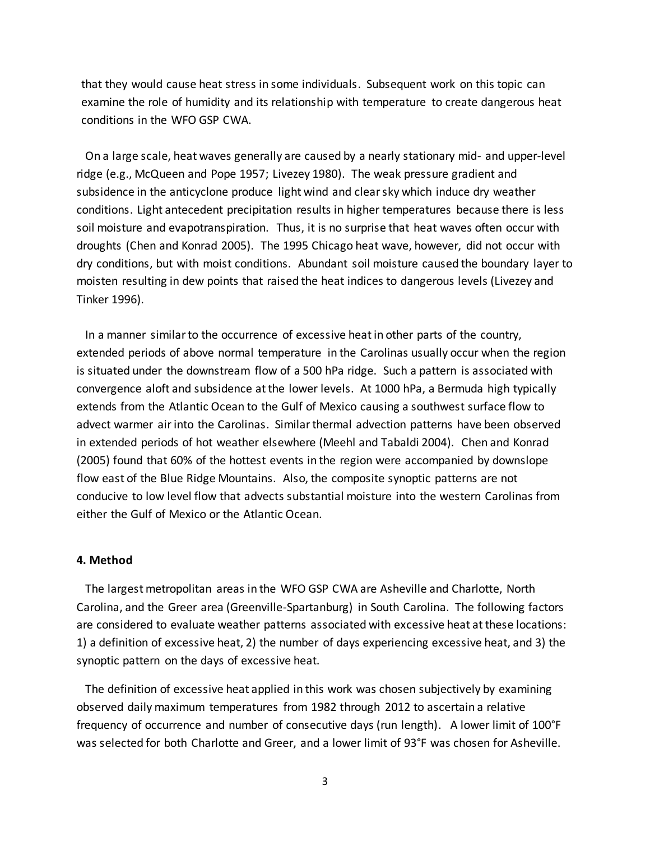that they would cause heat stress in some individuals. Subsequent work on this topic can examine the role of humidity and its relationship with temperature to create dangerous heat conditions in the WFO GSP CWA.

 On a large scale, heat waves generally are caused by a nearly stationary mid- and upper-level ridge (e.g., McQueen and Pope 1957; Livezey 1980). The weak pressure gradient and subsidence in the anticyclone produce light wind and clear sky which induce dry weather conditions. Light antecedent precipitation results in higher temperatures because there is less soil moisture and evapotranspiration. Thus, it is no surprise that heat waves often occur with droughts (Chen and Konrad 2005). The 1995 Chicago heat wave, however, did not occur with dry conditions, but with moist conditions. Abundant soil moisture caused the boundary layer to moisten resulting in dew points that raised the heat indices to dangerous levels (Livezey and Tinker 1996).

 In a manner similar to the occurrence of excessive heat in other parts of the country, extended periods of above normal temperature in the Carolinas usually occur when the region is situated under the downstream flow of a 500 hPa ridge. Such a pattern is associated with convergence aloft and subsidence at the lower levels. At 1000 hPa, a Bermuda high typically extends from the Atlantic Ocean to the Gulf of Mexico causing a southwest surface flow to advect warmer air into the Carolinas. Similar thermal advection patterns have been observed in extended periods of hot weather elsewhere (Meehl and Tabaldi 2004). Chen and Konrad (2005) found that 60% of the hottest events in the region were accompanied by downslope flow east of the Blue Ridge Mountains. Also, the composite synoptic patterns are not conducive to low level flow that advects substantial moisture into the western Carolinas from either the Gulf of Mexico or the Atlantic Ocean.

### **4. Method**

 The largest metropolitan areas in the WFO GSP CWA are Asheville and Charlotte, North Carolina, and the Greer area (Greenville-Spartanburg) in South Carolina. The following factors are considered to evaluate weather patterns associated with excessive heat at these locations: 1) a definition of excessive heat, 2) the number of days experiencing excessive heat, and 3) the synoptic pattern on the days of excessive heat.

 The definition of excessive heat applied in this work was chosen subjectively by examining observed daily maximum temperatures from 1982 through 2012 to ascertain a relative frequency of occurrence and number of consecutive days (run length). A lower limit of 100°F was selected for both Charlotte and Greer, and a lower limit of 93°F was chosen for Asheville.

3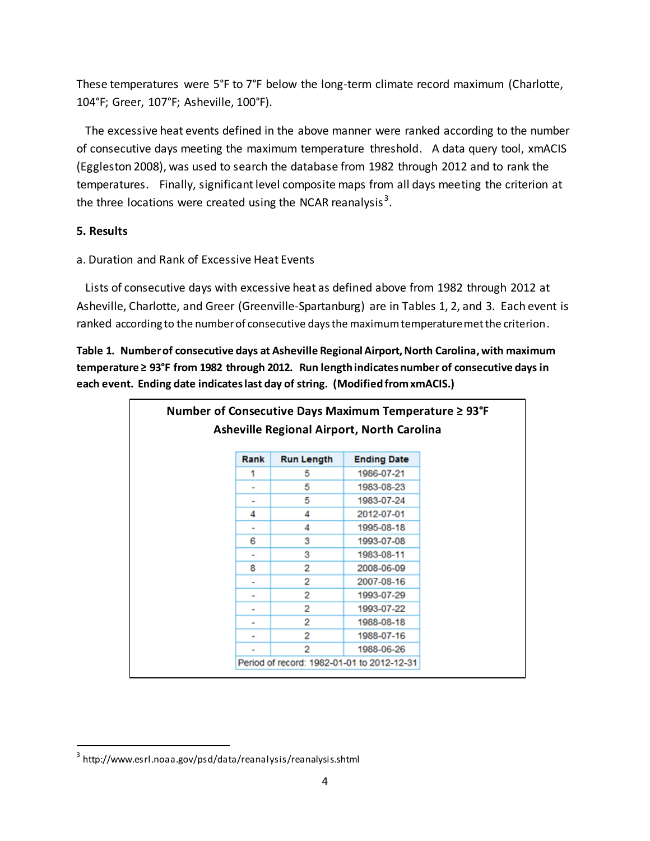These temperatures were 5°F to 7°F below the long-term climate record maximum (Charlotte, 104°F; Greer, 107°F; Asheville, 100°F).

 The excessive heat events defined in the above manner were ranked according to the number of consecutive days meeting the maximum temperature threshold. A data query tool, xmACIS (Eggleston 2008), was used to search the database from 1982 through 2012 and to rank the temperatures. Finally, significant level composite maps from all days meeting the criterion at the three locations were created using the NCAR reanalysis<sup>3</sup>.

# **5. Results**

 $\overline{a}$ 

a. Duration and Rank of Excessive Heat Events

 Lists of consecutive days with excessive heat as defined above from 1982 through 2012 at Asheville, Charlotte, and Greer (Greenville-Spartanburg) are in Tables 1, 2, and 3. Each event is ranked according to the number of consecutive days the maximum temperature met the criterion.

**Table 1. Number of consecutive days at Asheville Regional Airport, North Carolina,with maximum temperature ≥ 93°F from 1982 through 2012. Run length indicates number of consecutive days in each event. Ending date indicates last day of string. (Modified from xmACIS.)**

|                                                   | Number of Consecutive Days Maximum Temperature $\geq 93^{\circ}F$ |                                            |  |  |  |
|---------------------------------------------------|-------------------------------------------------------------------|--------------------------------------------|--|--|--|
| <b>Asheville Regional Airport, North Carolina</b> |                                                                   |                                            |  |  |  |
| Rank                                              | <b>Run Length</b>                                                 | <b>Ending Date</b>                         |  |  |  |
|                                                   | 5                                                                 | 1986-07-21                                 |  |  |  |
|                                                   | 5                                                                 | 1983-08-23                                 |  |  |  |
|                                                   | 5                                                                 | 1983-07-24                                 |  |  |  |
| 4                                                 | 4                                                                 | 2012-07-01                                 |  |  |  |
|                                                   | 4                                                                 | 1995-08-18                                 |  |  |  |
| 6                                                 | 3                                                                 | 1993-07-08                                 |  |  |  |
|                                                   | 3                                                                 | 1983-08-11                                 |  |  |  |
| 8                                                 | 2                                                                 | 2008-06-09                                 |  |  |  |
|                                                   | 2                                                                 | 2007-08-16                                 |  |  |  |
|                                                   | 2                                                                 | 1993-07-29                                 |  |  |  |
|                                                   | 2                                                                 | 1993-07-22                                 |  |  |  |
|                                                   | 2                                                                 | 1988-08-18                                 |  |  |  |
|                                                   | 2                                                                 | 1988-07-16                                 |  |  |  |
|                                                   | 2                                                                 | 1988-06-26                                 |  |  |  |
|                                                   |                                                                   | Period of record: 1982-01-01 to 2012-12-31 |  |  |  |

 $^{\rm 3}$  http://www.esrl.noaa.gov/psd/data/reanalysis/reanalysis.shtml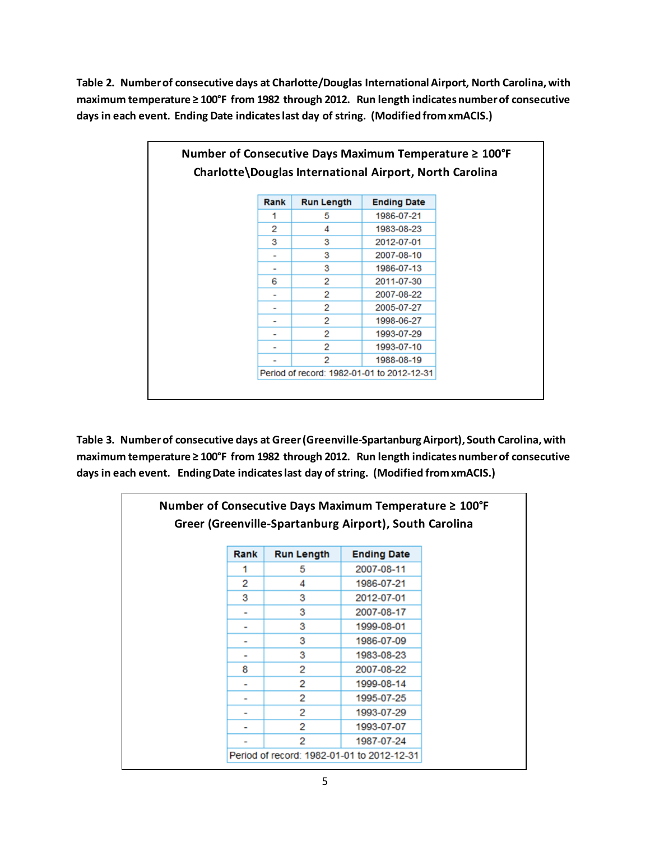**Table 2. Number of consecutive days at Charlotte/Douglas International Airport, North Carolina,with maximum temperature ≥ 100°F from 1982 through 2012. Run length indicates number of consecutive days in each event. Ending Date indicates last day of string. (Modified from xmACIS.)** 

| Number of Consecutive Days Maximum Temperature ≥ 100°F |      |                   |                                                         |  |
|--------------------------------------------------------|------|-------------------|---------------------------------------------------------|--|
|                                                        |      |                   | Charlotte\Douglas International Airport, North Carolina |  |
|                                                        |      |                   |                                                         |  |
|                                                        | Rank | <b>Run Length</b> | <b>Ending Date</b>                                      |  |
|                                                        | 1    | 5                 | 1986-07-21                                              |  |
|                                                        | 2    | 4                 | 1983-08-23                                              |  |
|                                                        | 3    | 3                 | 2012-07-01                                              |  |
|                                                        |      | з                 | 2007-08-10                                              |  |
|                                                        |      | 3                 | 1986-07-13                                              |  |
|                                                        | 6    | 2                 | 2011-07-30                                              |  |
|                                                        |      | 2                 | 2007-08-22                                              |  |
|                                                        |      | 2                 | 2005-07-27                                              |  |
|                                                        |      | 2                 | 1998-06-27                                              |  |
|                                                        |      | 2                 | 1993-07-29                                              |  |
|                                                        |      | 2                 | 1993-07-10                                              |  |
|                                                        |      | 2                 | 1988-08-19                                              |  |
|                                                        |      |                   | Period of record: 1982-01-01 to 2012-12-31              |  |

**Table 3. Number of consecutive days at Greer (Greenville-Spartanburg Airport), South Carolina,with maximum temperature ≥ 100°F from 1982 through 2012. Run length indicates number of consecutive days in each event. Ending Date indicates last day of string. (Modified from xmACIS.)** 

|      |                                                        | Number of Consecutive Days Maximum Temperature $\geq 100^{\circ}F$ |  |  |  |
|------|--------------------------------------------------------|--------------------------------------------------------------------|--|--|--|
|      | Greer (Greenville-Spartanburg Airport), South Carolina |                                                                    |  |  |  |
| Rank | <b>Run Length</b>                                      | <b>Ending Date</b>                                                 |  |  |  |
| 1    | 5                                                      | 2007-08-11                                                         |  |  |  |
| 2    | 4                                                      | 1986-07-21                                                         |  |  |  |
| 3    | 3                                                      | 2012-07-01                                                         |  |  |  |
|      | 3                                                      | 2007-08-17                                                         |  |  |  |
| ۰    | з                                                      | 1999-08-01                                                         |  |  |  |
|      | 3                                                      | 1986-07-09                                                         |  |  |  |
|      | 3                                                      | 1983-08-23                                                         |  |  |  |
| 8    | 2                                                      | 2007-08-22                                                         |  |  |  |
|      | 2                                                      | 1999-08-14                                                         |  |  |  |
| ٠    | 2                                                      | 1995-07-25                                                         |  |  |  |
|      | 2                                                      | 1993-07-29                                                         |  |  |  |
|      | 2                                                      | 1993-07-07                                                         |  |  |  |
|      | 2                                                      | 1987-07-24                                                         |  |  |  |
|      |                                                        | Period of record: 1982-01-01 to 2012-12-31                         |  |  |  |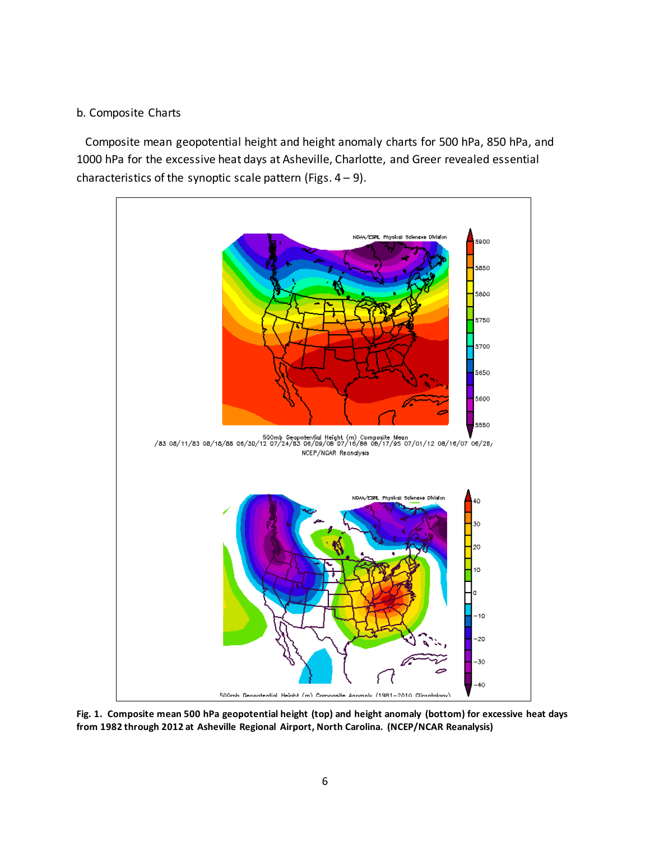# b. Composite Charts

 Composite mean geopotential height and height anomaly charts for 500 hPa, 850 hPa, and 1000 hPa for the excessive heat days at Asheville, Charlotte, and Greer revealed essential characteristics of the synoptic scale pattern (Figs.  $4 - 9$ ).



**Fig. 1. Composite mean 500 hPa geopotential height (top) and height anomaly (bottom) for excessive heat days from 1982 through 2012 at Asheville Regional Airport, North Carolina. (NCEP/NCAR Reanalysis)**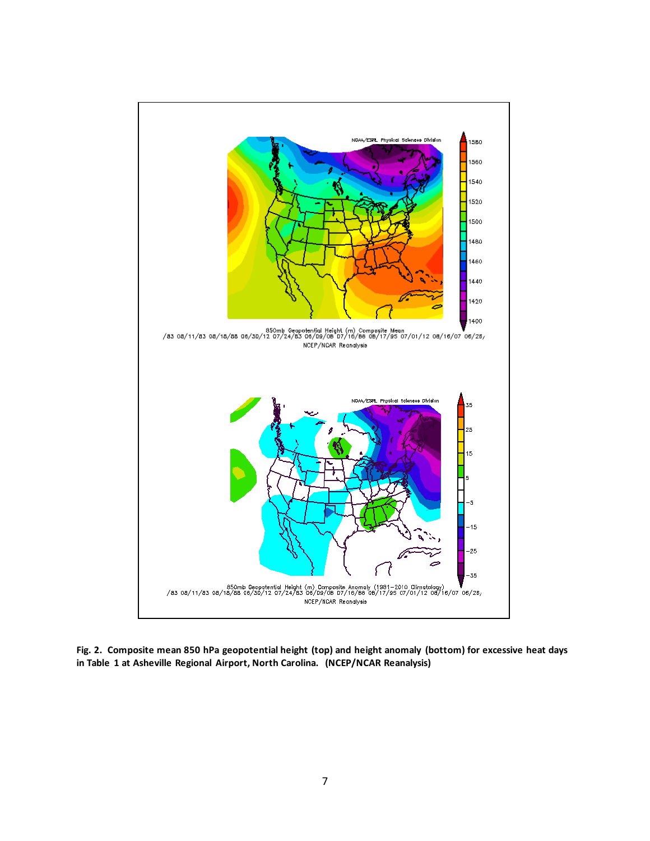

**Fig. 2. Composite mean 850 hPa geopotential height (top) and height anomaly (bottom) for excessive heat days in Table 1 at Asheville Regional Airport, North Carolina. (NCEP/NCAR Reanalysis)**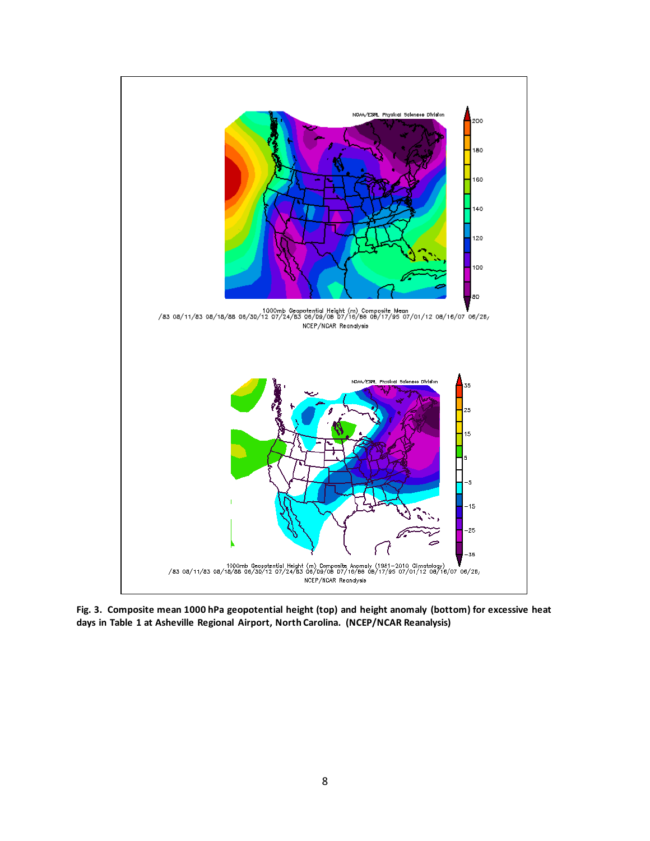

**Fig. 3. Composite mean 1000 hPa geopotential height (top) and height anomaly (bottom) for excessive heat days in Table 1 at Asheville Regional Airport, North Carolina. (NCEP/NCAR Reanalysis)**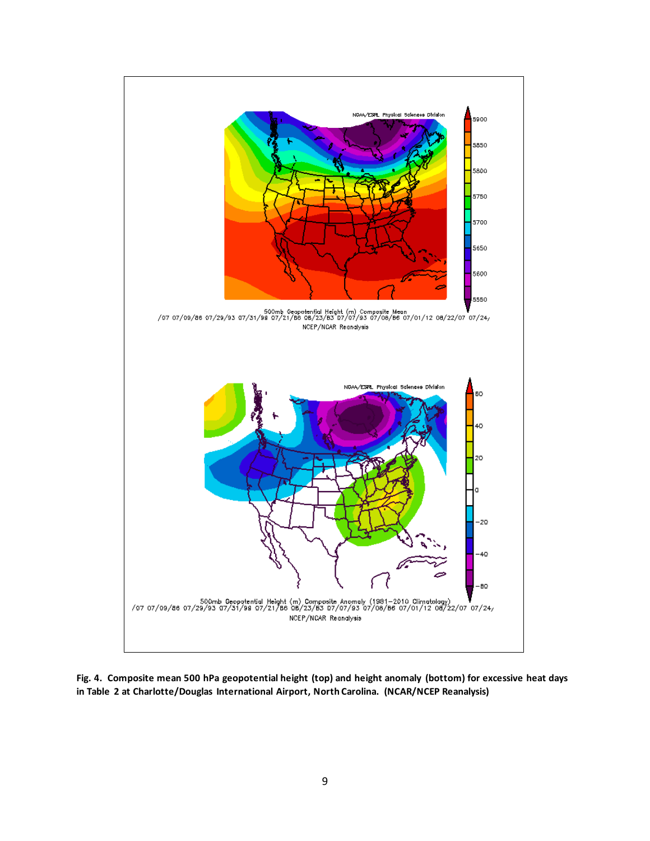

**Fig. 4. Composite mean 500 hPa geopotential height (top) and height anomaly (bottom) for excessive heat days in Table 2 at Charlotte/Douglas International Airport, North Carolina. (NCAR/NCEP Reanalysis)**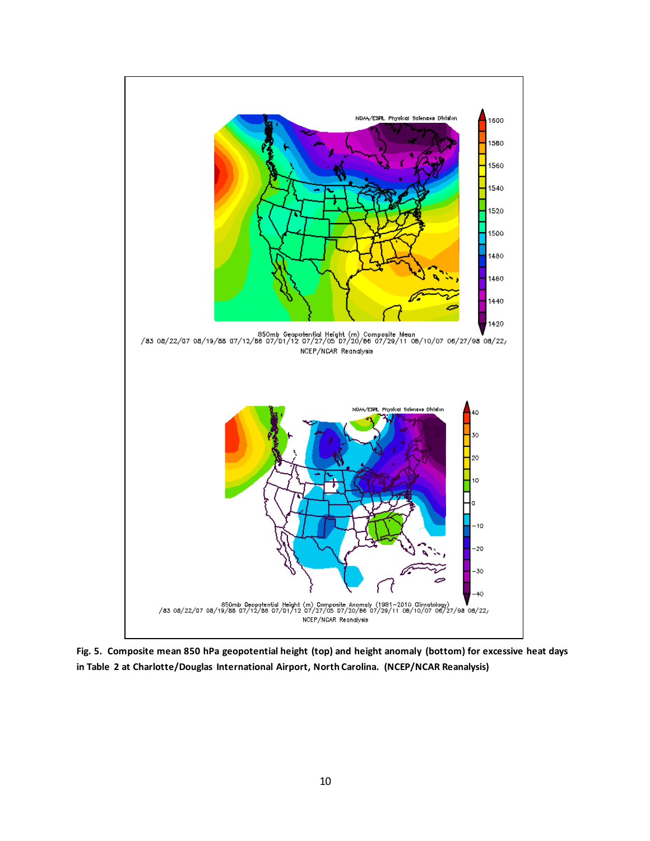

**Fig. 5. Composite mean 850 hPa geopotential height (top) and height anomaly (bottom) for excessive heat days in Table 2 at Charlotte/Douglas International Airport, North Carolina. (NCEP/NCAR Reanalysis)**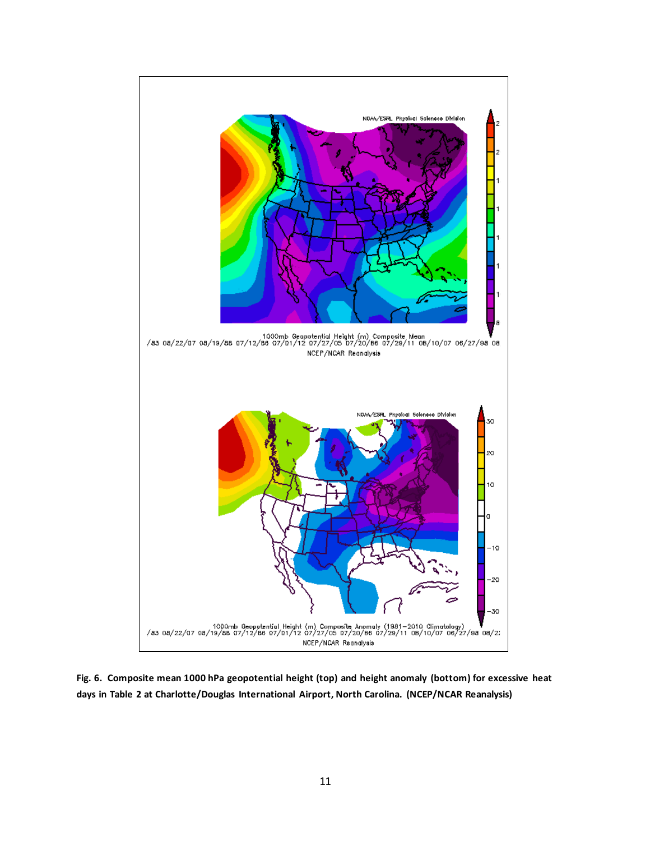

**Fig. 6. Composite mean 1000 hPa geopotential height (top) and height anomaly (bottom) for excessive heat days in Table 2 at Charlotte/Douglas International Airport, North Carolina. (NCEP/NCAR Reanalysis)**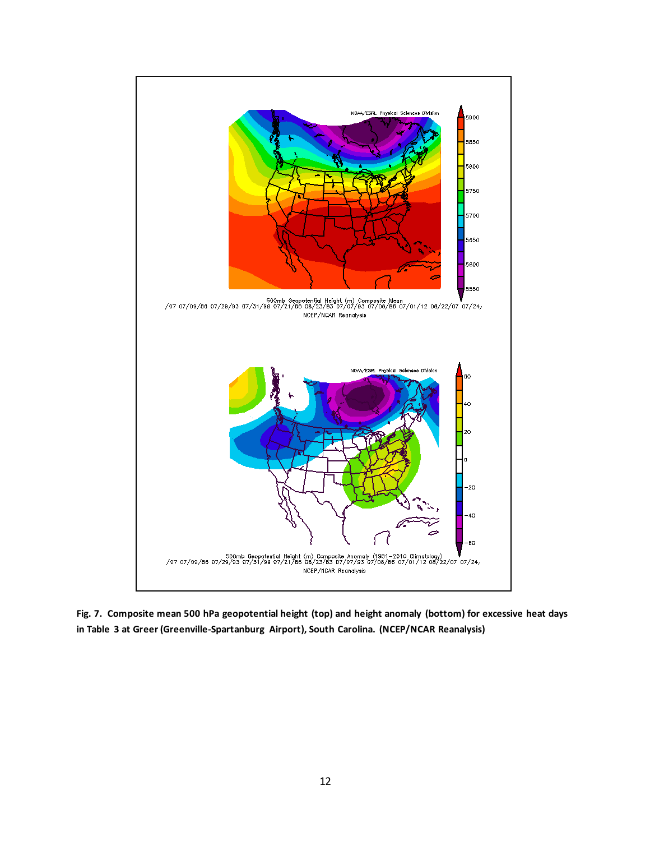

**Fig. 7. Composite mean 500 hPa geopotential height (top) and height anomaly (bottom) for excessive heat days in Table 3 at Greer (Greenville-Spartanburg Airport), South Carolina. (NCEP/NCAR Reanalysis)**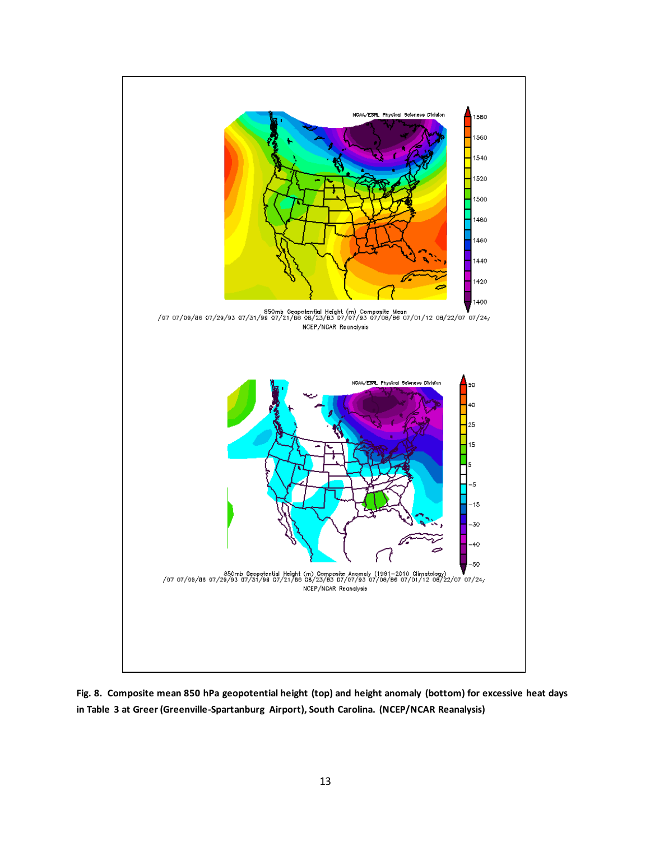

**Fig. 8. Composite mean 850 hPa geopotential height (top) and height anomaly (bottom) for excessive heat days in Table 3 at Greer (Greenville-Spartanburg Airport), South Carolina. (NCEP/NCAR Reanalysis)**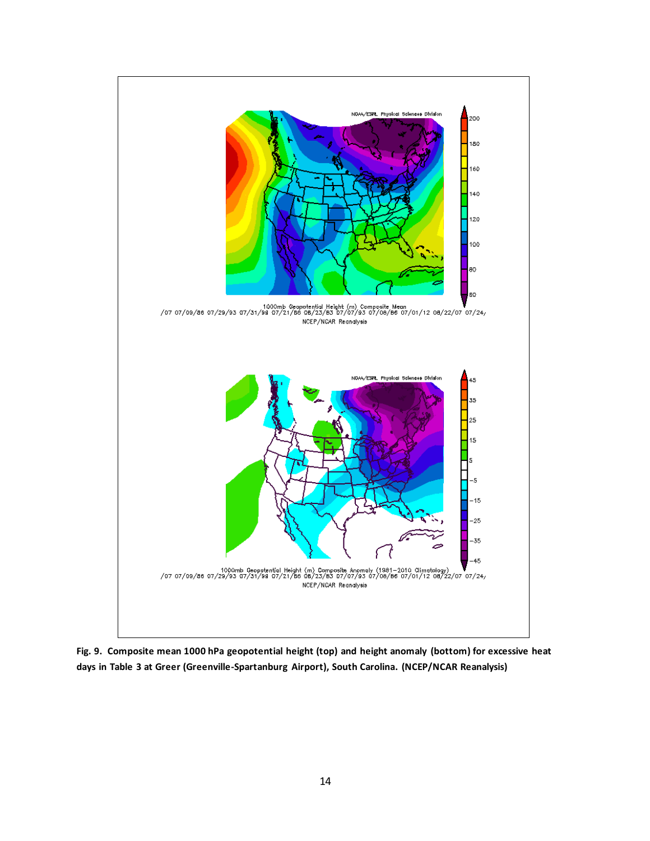

**Fig. 9. Composite mean 1000 hPa geopotential height (top) and height anomaly (bottom) for excessive heat days in Table 3 at Greer (Greenville-Spartanburg Airport), South Carolina. (NCEP/NCAR Reanalysis)**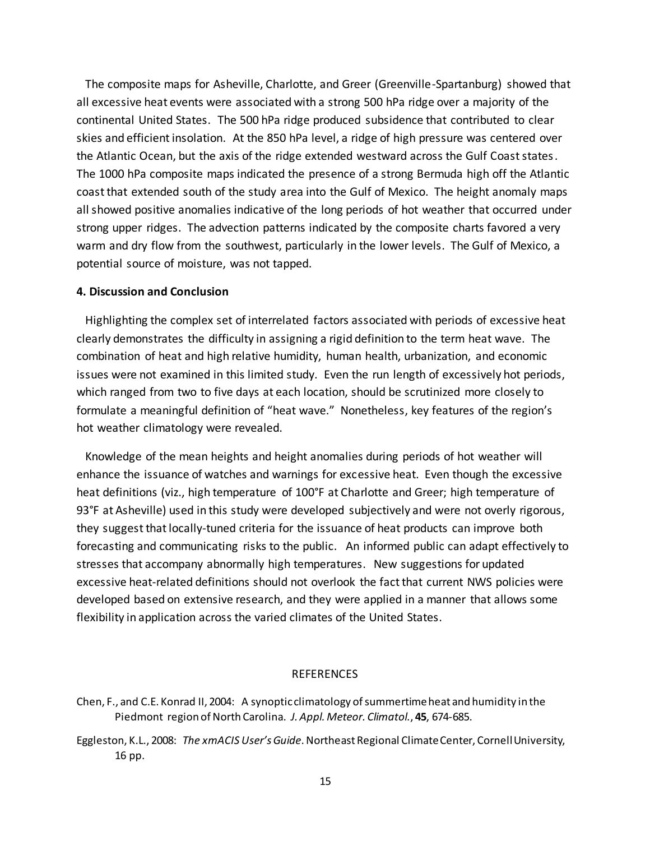The composite maps for Asheville, Charlotte, and Greer (Greenville-Spartanburg) showed that all excessive heat events were associated with a strong 500 hPa ridge over a majority of the continental United States. The 500 hPa ridge produced subsidence that contributed to clear skies and efficient insolation. At the 850 hPa level, a ridge of high pressure was centered over the Atlantic Ocean, but the axis of the ridge extended westward across the Gulf Coast states. The 1000 hPa composite maps indicated the presence of a strong Bermuda high off the Atlantic coast that extended south of the study area into the Gulf of Mexico. The height anomaly maps all showed positive anomalies indicative of the long periods of hot weather that occurred under strong upper ridges. The advection patterns indicated by the composite charts favored a very warm and dry flow from the southwest, particularly in the lower levels. The Gulf of Mexico, a potential source of moisture, was not tapped.

### **4. Discussion and Conclusion**

 Highlighting the complex set of interrelated factors associated with periods of excessive heat clearly demonstrates the difficulty in assigning a rigid definition to the term heat wave. The combination of heat and high relative humidity, human health, urbanization, and economic issues were not examined in this limited study. Even the run length of excessively hot periods, which ranged from two to five days at each location, should be scrutinized more closely to formulate a meaningful definition of "heat wave." Nonetheless, key features of the region's hot weather climatology were revealed.

 Knowledge of the mean heights and height anomalies during periods of hot weather will enhance the issuance of watches and warnings for excessive heat. Even though the excessive heat definitions (viz., high temperature of 100°F at Charlotte and Greer; high temperature of 93°F at Asheville) used in this study were developed subjectively and were not overly rigorous, they suggest that locally-tuned criteria for the issuance of heat products can improve both forecasting and communicating risks to the public. An informed public can adapt effectively to stresses that accompany abnormally high temperatures. New suggestions for updated excessive heat-related definitions should not overlook the fact that current NWS policies were developed based on extensive research, and they were applied in a manner that allows some flexibility in application across the varied climates of the United States.

#### REFERENCES

- Chen, F., and C.E. Konrad II, 2004: A synoptic climatology of summertime heat and humidity in the Piedmont region of North Carolina. *J. Appl. Meteor. Climatol.*, **45**, 674-685.
- Eggleston, K.L., 2008: *The xmACISUser's Guide*. Northeast Regional Climate Center, Cornell University, 16 pp.